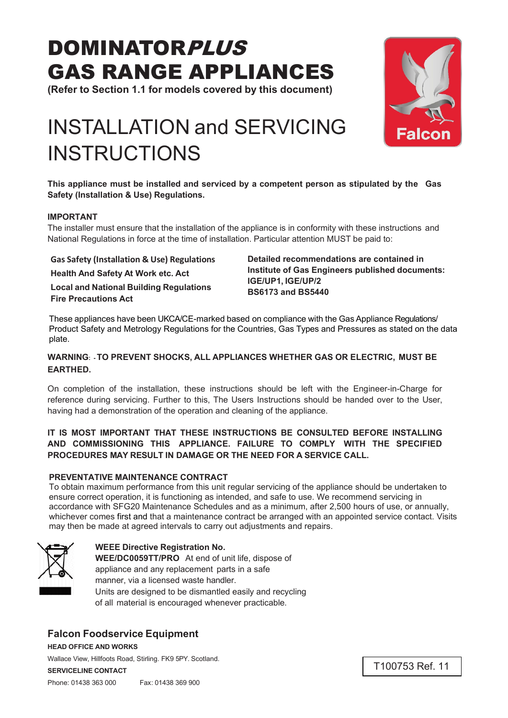# DOMINATORPLUS GAS RANGE APPLIANCES

**(Refer to Section 1.1 for models covered by this document)**

# INSTALLATION and SERVICING



**This appliance must be installed and serviced by a competent person as stipulated by the Gas Safety (Installation & Use) Regulations.**

#### **IMPORTANT**

The installer must ensure that the installation of the appliance is in conformity with these instructions and National Regulations in force at the time of installation. Particular attention MUST be paid to:

**Health And Safety At Work etc. Act Local and National Building Regulations Fire Precautions Act**

**INSTRUCTIONS** 

**Gas Safety (Installation & Use) Regulations Detailed recommendations are contained in Institute of Gas Engineers published documents: IGE/UP1, IGE/UP/2 BS6173 and BS5440**

These appliances have been UKCA/CE-marked based on compliance with the Gas Appliance Regulations/ Product Safety and Metrology Regulations for the Countries, Gas Types and Pressures as stated on the data plate.

#### **WARNING: - TO PREVENT SHOCKS, ALL APPLIANCES WHETHER GAS OR ELECTRIC, MUST BE EARTHED.**

On completion of the installation, these instructions should be left with the Engineer-in-Charge for reference during servicing. Further to this, The Users Instructions should be handed over to the User, having had a demonstration of the operation and cleaning of the appliance.

#### **IT IS MOST IMPORTANT THAT THESE INSTRUCTIONS BE CONSULTED BEFORE INSTALLING AND COMMISSIONING THIS APPLIANCE. FAILURE TO COMPLY WITH THE SPECIFIED PROCEDURES MAY RESULT IN DAMAGE OR THE NEED FOR A SERVICE CALL.**

#### **PREVENTATIVE MAINTENANCE CONTRACT**

To obtain maximum performance from this unit regular servicing of the appliance should be undertaken to ensure correct operation, it is functioning as intended, and safe to use. We recommend servicing in accordance with SFG20 Maintenance Schedules and as a minimum, after 2,500 hours of use, or annually, whichever comes first and that a maintenance contract be arranged with an appointed service contact. Visits may then be made at agreed intervals to carry out adjustments and repairs.



### **WEEE Directive Registration No.**

**WEE/DC0059TT/PRO** At end of unit life, dispose of appliance and any replacement parts in a safe manner, via a licensed waste handler. Units are designed to be dismantled easily and recycling of all material is encouraged whenever practicable.

## **Falcon Foodservice Equipment**

**HEAD OFFICE AND WORKS**

Wallace View, Hillfoots Road, Stirling. FK9 5PY. Scotland.

**SERVICELINE CONTACT**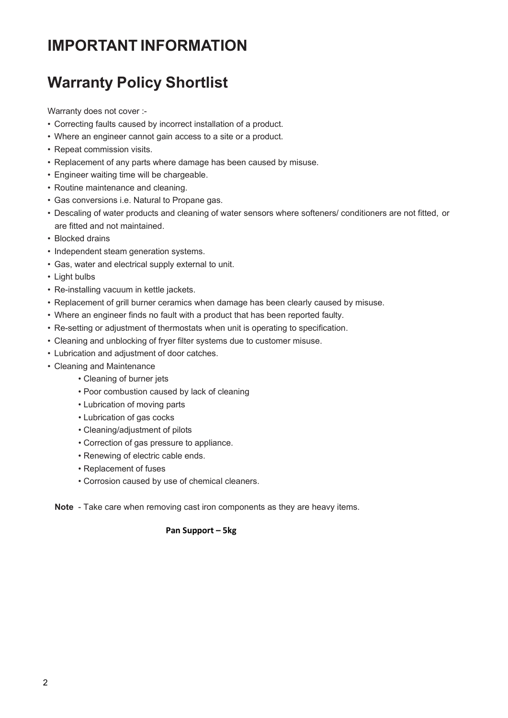# **IMPORTANT INFORMATION**

# **Warranty Policy Shortlist**

Warranty does not cover :-

- Correcting faults caused by incorrect installation of a product.
- Where an engineer cannot gain access to a site or a product.
- Repeat commission visits.
- Replacement of any parts where damage has been caused by misuse.
- Engineer waiting time will be chargeable.
- Routine maintenance and cleaning.
- Gas conversions i.e. Natural to Propane gas.
- Descaling of water products and cleaning of water sensors where softeners/ conditioners are not fitted, or are fitted and not maintained.
- Blocked drains
- Independent steam generation systems.
- Gas, water and electrical supply external to unit.
- Light bulbs
- Re-installing vacuum in kettle jackets.
- Replacement of grill burner ceramics when damage has been clearly caused by misuse.
- Where an engineer finds no fault with a product that has been reported faulty.
- Re-setting or adjustment of thermostats when unit is operating to specification.
- Cleaning and unblocking of fryer filter systems due to customer misuse.
- Lubrication and adjustment of door catches.
- Cleaning and Maintenance
	- Cleaning of burner jets
	- Poor combustion caused by lack of cleaning
	- Lubrication of moving parts
	- Lubrication of gas cocks
	- Cleaning/adjustment of pilots
	- Correction of gas pressure to appliance.
	- Renewing of electric cable ends.
	- Replacement of fuses
	- Corrosion caused by use of chemical cleaners.

**Note** - Take care when removing cast iron components as they are heavy items.

#### **Pan Support – 5kg**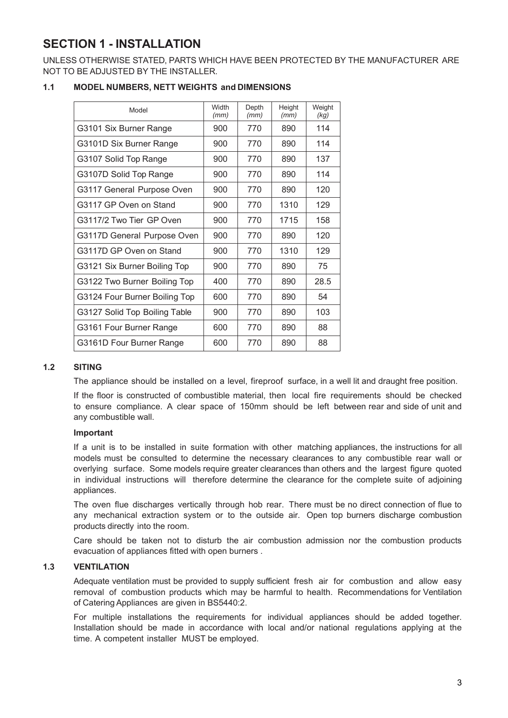# **SECTION 1 - INSTALLATION**

UNLESS OTHERWISE STATED, PARTS WHICH HAVE BEEN PROTECTED BY THE MANUFACTURER ARE NOT TO BE ADJUSTED BY THE INSTALLER.

#### **1.1 MODEL NUMBERS, NETT WEIGHTS and DIMENSIONS**

| Model                         | Width<br>(mm) | Depth<br>(mm) | Height<br>(mm) | Weight<br>(kg) |
|-------------------------------|---------------|---------------|----------------|----------------|
| G3101 Six Burner Range        | 900           | 770           | 890            | 114            |
| G3101D Six Burner Range       | 900           | 770           | 890            | 114            |
| G3107 Solid Top Range         | 900           | 770           | 890            | 137            |
| G3107D Solid Top Range        | 900           | 770           | 890            | 114            |
| G3117 General Purpose Oven    | 900           | 770           | 890            | 120            |
| G3117 GP Oven on Stand        | 900           | 770           | 1310           | 129            |
| G3117/2 Two Tier GP Oven      | 900           | 770           | 1715           | 158            |
| G3117D General Purpose Oven   | 900           | 770           | 890            | 120            |
| G3117D GP Oven on Stand       | 900           | 770           | 1310           | 129            |
| G3121 Six Burner Boiling Top  | 900           | 770           | 890            | 75             |
| G3122 Two Burner Boiling Top  | 400           | 770           | 890            | 28.5           |
| G3124 Four Burner Boiling Top | 600           | 770           | 890            | 54             |
| G3127 Solid Top Boiling Table | 900           | 770           | 890            | 103            |
| G3161 Four Burner Range       | 600           | 770           | 890            | 88             |
| G3161D Four Burner Range      | 600           | 770           | 890            | 88             |

#### **1.2 SITING**

The appliance should be installed on a level, fireproof surface, in a well lit and draught free position.

If the floor is constructed of combustible material, then local fire requirements should be checked to ensure compliance. A clear space of 150mm should be left between rear and side of unit and any combustible wall.

#### **Important**

If a unit is to be installed in suite formation with other matching appliances, the instructions for all models must be consulted to determine the necessary clearances to any combustible rear wall or overlying surface. Some models require greater clearances than others and the largest figure quoted in individual instructions will therefore determine the clearance for the complete suite of adjoining appliances.

The oven flue discharges vertically through hob rear. There must be no direct connection of flue to any mechanical extraction system or to the outside air. Open top burners discharge combustion products directly into the room.

Care should be taken not to disturb the air combustion admission nor the combustion products evacuation of appliances fitted with open burners .

#### **1.3 VENTILATION**

Adequate ventilation must be provided to supply sufficient fresh air for combustion and allow easy removal of combustion products which may be harmful to health. Recommendations for Ventilation of Catering Appliances are given in BS5440:2.

For multiple installations the requirements for individual appliances should be added together. Installation should be made in accordance with local and/or national regulations applying at the time. A competent installer MUST be employed.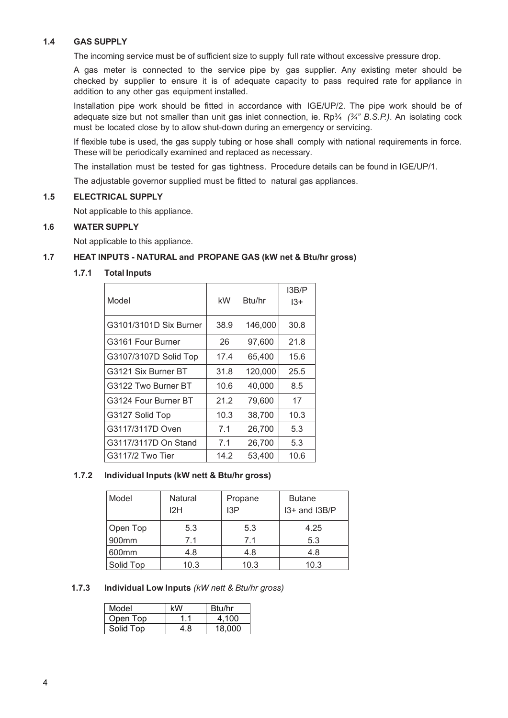#### **1.4 GAS SUPPLY**

The incoming service must be of sufficient size to supply full rate without excessive pressure drop.

A gas meter is connected to the service pipe by gas supplier. Any existing meter should be checked by supplier to ensure it is of adequate capacity to pass required rate for appliance in addition to any other gas equipment installed.

Installation pipe work should be fitted in accordance with IGE/UP/2. The pipe work should be of adequate size but not smaller than unit gas inlet connection, ie. Rp¾ *(¾" B.S.P.)*. An isolating cock must be located close by to allow shut-down during an emergency or servicing.

If flexible tube is used, the gas supply tubing or hose shall comply with national requirements in force. These will be periodically examined and replaced as necessary.

The installation must be tested for gas tightness. Procedure details can be found in IGE/UP/1.

The adjustable governor supplied must be fitted to natural gas appliances.

#### **1.5 ELECTRICAL SUPPLY**

Not applicable to this appliance.

#### **1.6 WATER SUPPLY**

Not applicable to this appliance.

#### **1.7 HEAT INPUTS - NATURAL and PROPANE GAS (kW net & Btu/hr gross)**

#### **1.7.1 Total Inputs**

| Model                  | kW   | Btu/hr  | I3B/P<br>$13+$ |
|------------------------|------|---------|----------------|
| G3101/3101D Six Burner | 38.9 | 146,000 | 30.8           |
| G3161 Four Burner      | 26   | 97,600  | 21.8           |
| G3107/3107D Solid Top  | 17.4 | 65,400  | 15.6           |
| G3121 Six Burner BT    | 31.8 | 120,000 | 25.5           |
| G3122 Two Burner BT    | 10.6 | 40,000  | 8.5            |
| G3124 Four Burner BT   | 21.2 | 79,600  | 17             |
| G3127 Solid Top        | 10.3 | 38,700  | 10.3           |
| G3117/3117D Oven       | 7.1  | 26,700  | 5.3            |
| G3117/3117D On Stand   | 7.1  | 26,700  | 5.3            |
| G3117/2 Two Tier       | 14.2 | 53,400  | 10.6           |

#### **1.7.2 Individual Inputs (kW nett & Btu/hr gross)**

| Model     | Natural<br>12H | Propane<br>13P | <b>Butane</b><br>$13+$ and $13B/P$ |
|-----------|----------------|----------------|------------------------------------|
| Open Top  | 5.3            | 5.3            | 4.25                               |
| 900mm     | 7.1            | 7.1            | 5.3                                |
| 600mm     | 4.8            | 4.8            | 4.8                                |
| Solid Top | 10.3           | 10.3           | 10.3                               |

#### **1.7.3 Individual Low Inputs** *(kW nett & Btu/hr gross)*

| Model     | kW  | Btu/hr |
|-----------|-----|--------|
| Open Top  |     | 4.100  |
| Solid Top | 4.8 | 18.000 |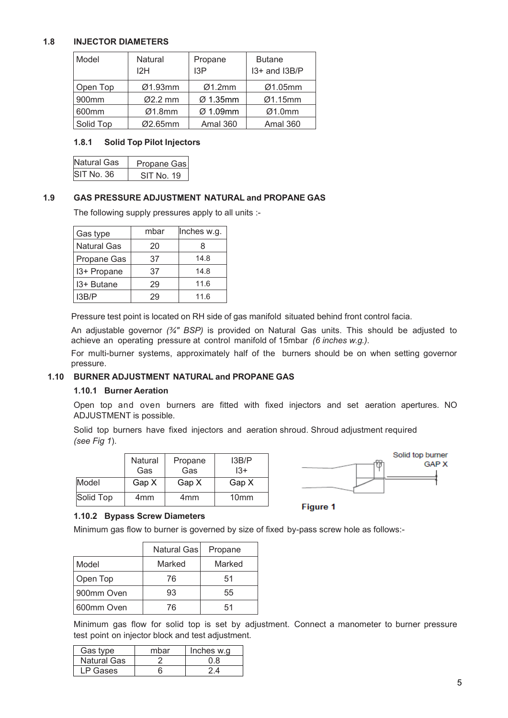#### **1.8 INJECTOR DIAMETERS**

| Model     | <b>Natural</b><br>12H | Propane<br>13P       | <b>Butane</b><br>I3+ and I3B/P |
|-----------|-----------------------|----------------------|--------------------------------|
| Open Top  | Ø1.93mm               | Ø1.2mm               | Ø1.05mm                        |
| 900mm     | $Ø2.2$ mm             | $\varnothing$ 1.35mm | Ø1.15mm                        |
| 600mm     | Ø1.8mm                | $\varnothing$ 1.09mm | Ø1.0mm                         |
| Solid Top | Ø2.65mm               | <b>Amal 360</b>      | <b>Amal 360</b>                |

#### **1.8.1 Solid Top Pilot Injectors**

| Natural Gas | Propane Gas |
|-------------|-------------|
| SIT No. 36  | SIT No. 19  |

#### **1.9 GAS PRESSURE ADJUSTMENT NATURAL and PROPANE GAS**

The following supply pressures apply to all units :-

| Gas type           | mbar | Inches w.g. |
|--------------------|------|-------------|
| <b>Natural Gas</b> | 20   | 8           |
| Propane Gas        | 37   | 14.8        |
| 13+ Propane        | 37   | 14.8        |
| 13+ Butane         | 29   | 11.6        |
| 13B/P              | 29   | 11.6        |

Pressure test point is located on RH side of gas manifold situated behind front control facia.

An adjustable governor *(¾" BSP)* is provided on Natural Gas units. This should be adjusted to achieve an operating pressure at control manifold of 15mbar *(6 inches w.g.)*.

For multi-burner systems, approximately half of the burners should be on when setting governor pressure.

#### **1.10 BURNER ADJUSTMENT NATURAL and PROPANE GAS**

#### **1.10.1 Burner Aeration**

Open top and oven burners are fitted with fixed injectors and set aeration apertures. NO ADJUSTMENT is possible.

Solid top burners have fixed injectors and aeration shroud. Shroud adjustment required *(see Fig 1*).

|           | Natural<br>Gas | Propane<br>Gas | I3B/P<br>$13+$   |
|-----------|----------------|----------------|------------------|
| Model     | Gap X          | Gap X          | Gap X            |
| Solid Top | 4mm            | 4mm            | 10 <sub>mm</sub> |



**Figure 1** 

#### **1.10.2 Bypass Screw Diameters**

Minimum gas flow to burner is governed by size of fixed by-pass screw hole as follows:-

|             | Natural Gasl | Propane |
|-------------|--------------|---------|
| Model       | Marked       | Marked  |
| Open Top    | 76           | 51      |
| 900mm Oven  | 93           | 55      |
| 1600mm Oven | 76           | 51      |

Minimum gas flow for solid top is set by adjustment. Connect a manometer to burner pressure test point on injector block and test adjustment.

| Gas type    | mhar | Inches w.g |
|-------------|------|------------|
| Natural Gas |      |            |
| I P Gases   |      |            |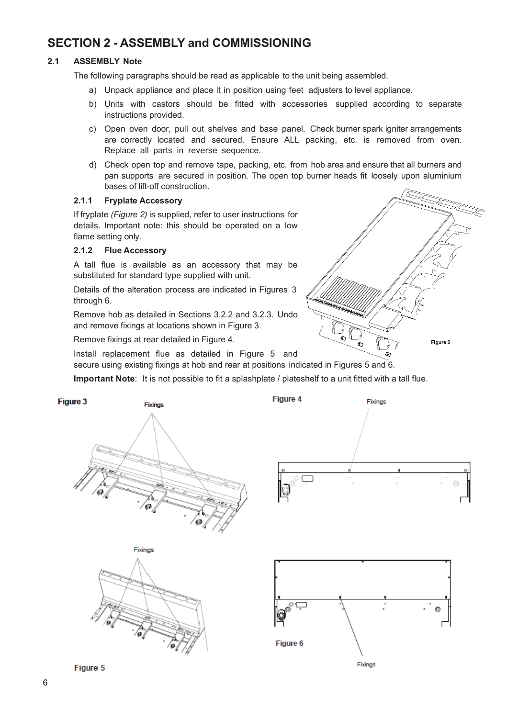## **SECTION 2 - ASSEMBLY and COMMISSIONING**

#### **2.1 ASSEMBLY Note**

The following paragraphs should be read as applicable to the unit being assembled.

- a) Unpack appliance and place it in position using feet adjusters to level appliance.
- b) Units with castors should be fitted with accessories supplied according to separate instructions provided.
- c) Open oven door, pull out shelves and base panel. Check burner spark igniter arrangements are correctly located and secured. Ensure ALL packing, etc. is removed from oven. Replace all parts in reverse sequence.
- d) Check open top and remove tape, packing, etc. from hob area and ensure that all burners and pan supports are secured in position. The open top burner heads fit loosely upon aluminium bases of lift-off construction.

#### **2.1.1 Fryplate Accessory**

If fryplate *(Figure 2)* is supplied, refer to user instructions for details. Important note: this should be operated on a low flame setting only.

#### **2.1.2 Flue Accessory**

A tall flue is available as an accessory that may be substituted for standard type supplied with unit.

Details of the alteration process are indicated in Figures 3 through 6.

Remove hob as detailed in Sections 3.2.2 and 3.2.3. Undo and remove fixings at locations shown in Figure 3.

Remove fixings at rear detailed in Figure 4.

Install replacement flue as detailed in Figure 5 and secure using existing fixings at hob and rear at positions indicated in Figures 5 and 6.

**Important Note**: It is not possible to fit a splashplate / plateshelf to a unit fitted with a tall flue.

Figure 2



Figure 5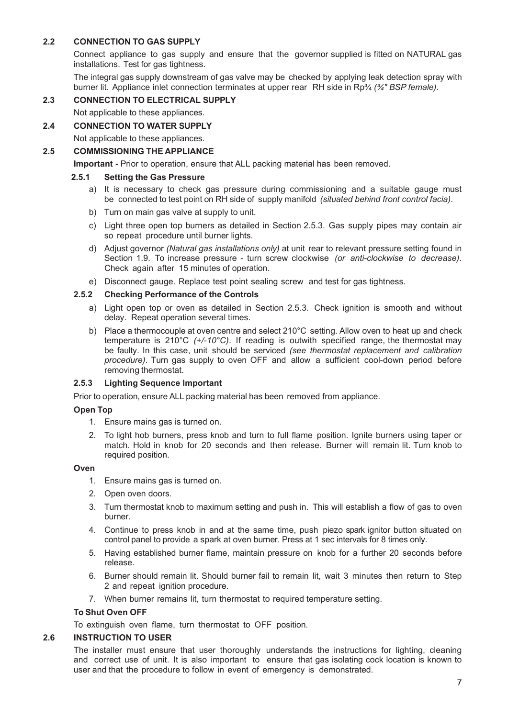#### **2.2 CONNECTION TO GAS SUPPLY**

Connect appliance to gas supply and ensure that the governor supplied is fitted on NATURAL gas installations. Test for gas tightness.

The integral gas supply downstream of gas valve may be checked by applying leak detection spray with burner lit. Appliance inlet connection terminates at upper rear RH side in Rp¾ *(¾" BSP female)*.

#### **2.3 CONNECTION TO ELECTRICAL SUPPLY**

Not applicable to these appliances.

#### **2.4 CONNECTION TO WATER SUPPLY**

Not applicable to these appliances.

#### **2.5 COMMISSIONING THE APPLIANCE**

**Important -** Prior to operation, ensure that ALL packing material has been removed.

#### **2.5.1 Setting the Gas Pressure**

- a) It is necessary to check gas pressure during commissioning and a suitable gauge must be connected to test point on RH side of supply manifold *(situated behind front control facia)*.
- b) Turn on main gas valve at supply to unit.
- c) Light three open top burners as detailed in Section 2.5.3. Gas supply pipes may contain air so repeat procedure until burner lights.
- d) Adjust governor *(Natural gas installations only)* at unit rear to relevant pressure setting found in Section 1.9. To increase pressure - turn screw clockwise *(or anti-clockwise to decrease)*. Check again after 15 minutes of operation.
- e) Disconnect gauge. Replace test point sealing screw and test for gas tightness.

#### **2.5.2 Checking Performance of the Controls**

- a) Light open top or oven as detailed in Section 2.5.3. Check ignition is smooth and without delay. Repeat operation several times.
- b) Place a thermocouple at oven centre and select 210°C setting. Allow oven to heat up and check temperature is 210°C *(+/-10°C)*. If reading is outwith specified range, the thermostat may be faulty. In this case, unit should be serviced *(see thermostat replacement and calibration procedure)*. Turn gas supply to oven OFF and allow a sufficient cool-down period before removing thermostat.

#### **2.5.3 Lighting Sequence Important**

Prior to operation, ensure ALL packing material has been removed from appliance.

#### **Open Top**

- 1. Ensure mains gas is turned on.
- 2. To light hob burners, press knob and turn to full flame position. Ignite burners using taper or match. Hold in knob for 20 seconds and then release. Burner will remain lit. Turn knob to required position.

#### **Oven**

- 1. Ensure mains gas is turned on.
- 2. Open oven doors.
- 3. Turn thermostat knob to maximum setting and push in. This will establish a flow of gas to oven burner.
- 4. Continue to press knob in and at the same time, push piezo spark ignitor button situated on control panel to provide a spark at oven burner. Press at 1 sec intervals for 8 times only.
- 5. Having established burner flame, maintain pressure on knob for a further 20 seconds before release.
- 6. Burner should remain lit. Should burner fail to remain lit, wait 3 minutes then return to Step 2 and repeat ignition procedure.
- 7. When burner remains lit, turn thermostat to required temperature setting.

#### **To Shut Oven OFF**

To extinguish oven flame, turn thermostat to OFF position.

#### **2.6 INSTRUCTION TO USER**

The installer must ensure that user thoroughly understands the instructions for lighting, cleaning and correct use of unit. It is also important to ensure that gas isolating cock location is known to user and that the procedure to follow in event of emergency is demonstrated.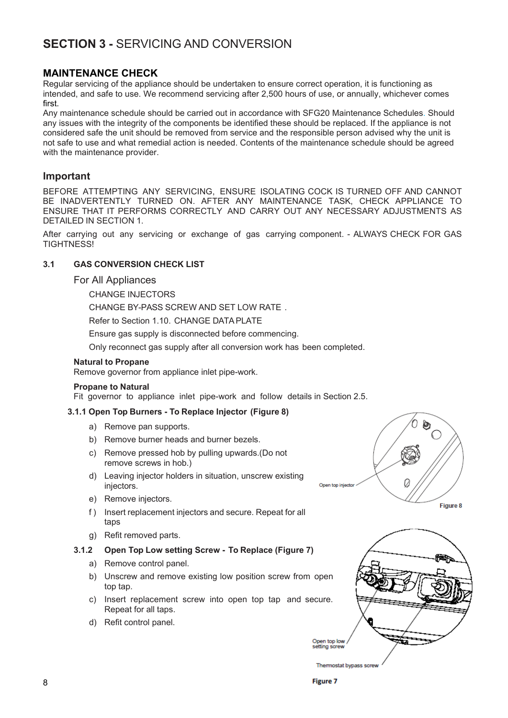# **SECTION 3 -** SERVICING AND CONVERSION

#### **MAINTENANCE CHECK**

Regular servicing of the appliance should be undertaken to ensure correct operation, it is functioning as intended, and safe to use. We recommend servicing after 2,500 hours of use, or annually, whichever comes first.

Any maintenance schedule should be carried out in accordance with SFG20 Maintenance Schedules. Should any issues with the integrity of the components be identified these should be replaced. If the appliance is not considered safe the unit should be removed from service and the responsible person advised why the unit is not safe to use and what remedial action is needed. Contents of the maintenance schedule should be agreed with the maintenance provider.

#### **Important**

BEFORE ATTEMPTING ANY SERVICING, ENSURE ISOLATING COCK IS TURNED OFF AND CANNOT BE INADVERTENTLY TURNED ON. AFTER ANY MAINTENANCE TASK, CHECK APPLIANCE TO ENSURE THAT IT PERFORMS CORRECTLY AND CARRY OUT ANY NECESSARY ADJUSTMENTS AS DETAILED IN SECTION 1.

After carrying out any servicing or exchange of gas carrying component. - ALWAYS CHECK FOR GAS TIGHTNESS!

#### **3.1 GAS CONVERSION CHECK LIST**

#### For All Appliances

CHANGE INJECTORS

CHANGE BY-PASS SCREW AND SET LOW RATE .

Refer to Section 1.10. CHANGE DATA PLATE

Ensure gas supply is disconnected before commencing.

Only reconnect gas supply after all conversion work has been completed.

#### **Natural to Propane**

Remove governor from appliance inlet pipe-work.

#### **Propane to Natural**

Fit governor to appliance inlet pipe-work and follow details in Section 2.5.

#### **3.1.1 Open Top Burners - To Replace Injector (Figure 8)**

- a) Remove pan supports.
- b) Remove burner heads and burner bezels.
- c) Remove pressed hob by pulling upwards.(Do not remove screws in hob.)
- d) Leaving injector holders in situation, unscrew existing injectors.
- e) Remove injectors.
- f ) Insert replacement injectors and secure. Repeat for all taps
- g) Refit removed parts.

#### **3.1.2 Open Top Low setting Screw - To Replace (Figure 7)**

- a) Remove control panel.
- b) Unscrew and remove existing low position screw from open top tap.
- c) Insert replacement screw into open top tap and secure. Repeat for all taps.
- d) Refit control panel.





Thermostat bypass screw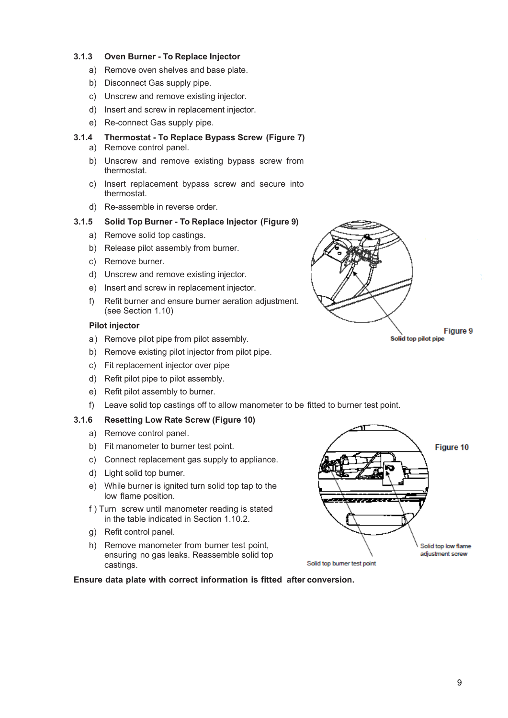#### **3.1.3 Oven Burner - To Replace Injector**

- a) Remove oven shelves and base plate.
- b) Disconnect Gas supply pipe.
- c) Unscrew and remove existing injector.
- d) Insert and screw in replacement injector.
- e) Re-connect Gas supply pipe.

#### **3.1.4 Thermostat - To Replace Bypass Screw (Figure 7)**

- a) Remove control panel.
- b) Unscrew and remove existing bypass screw from thermostat.
- c) Insert replacement bypass screw and secure into thermostat.
- d) Re-assemble in reverse order.

#### **3.1.5 Solid Top Burner - To Replace Injector (Figure 9)**

- a) Remove solid top castings.
- b) Release pilot assembly from burner.
- c) Remove burner.
- d) Unscrew and remove existing injector.
- e) Insert and screw in replacement injector.
- f) Refit burner and ensure burner aeration adjustment. (see Section 1.10)

#### **Pilot injector**

- a) Remove pilot pipe from pilot assembly.
- b) Remove existing pilot injector from pilot pipe.
- c) Fit replacement injector over pipe
- d) Refit pilot pipe to pilot assembly.
- e) Refit pilot assembly to burner.
- f) Leave solid top castings off to allow manometer to be fitted to burner test point.

#### **3.1.6 Resetting Low Rate Screw (Figure 10)**

- a) Remove control panel.
- b) Fit manometer to burner test point.
- c) Connect replacement gas supply to appliance.
- d) Light solid top burner.
- e) While burner is ignited turn solid top tap to the low flame position.
- f ) Turn screw until manometer reading is stated in the table indicated in Section 1.10.2.
- g) Refit control panel.
- h) Remove manometer from burner test point, ensuring no gas leaks. Reassemble solid top castings.



#### **Ensure data plate with correct information is fitted after conversion.**

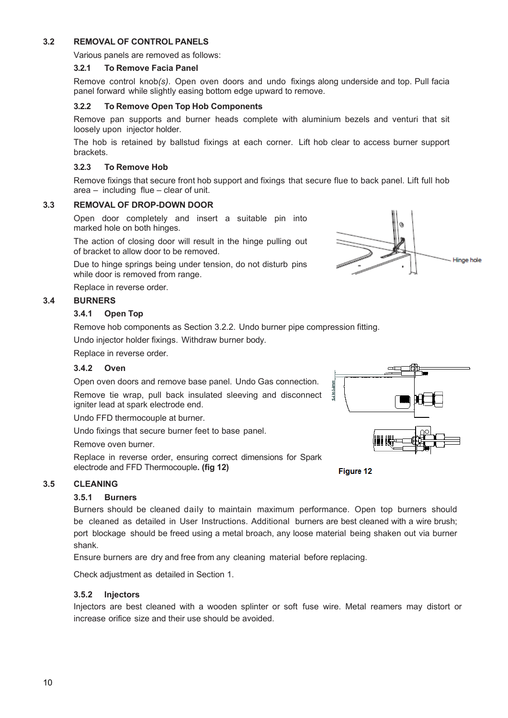#### **3.2 REMOVAL OF CONTROL PANELS**

Various panels are removed as follows:

#### **3.2.1 To Remove Facia Panel**

Remove control knob*(s)*. Open oven doors and undo fixings along underside and top. Pull facia panel forward while slightly easing bottom edge upward to remove.

#### **3.2.2 To Remove Open Top Hob Components**

Remove pan supports and burner heads complete with aluminium bezels and venturi that sit loosely upon injector holder.

The hob is retained by ballstud fixings at each corner. Lift hob clear to access burner support brackets.

#### **3.2.3 To Remove Hob**

Remove fixings that secure front hob support and fixings that secure flue to back panel. Lift full hob area – including flue – clear of unit.

#### **3.3 REMOVAL OF DROP-DOWN DOOR**

Open door completely and insert a suitable pin into marked hole on both hinges.

The action of closing door will result in the hinge pulling out of bracket to allow door to be removed.

Due to hinge springs being under tension, do not disturb pins while door is removed from range.

Replace in reverse order.

#### **3.4 BURNERS**

#### **3.4.1 Open Top**

Remove hob components as Section 3.2.2. Undo burner pipe compression fitting. Undo injector holder fixings. Withdraw burner body.

Replace in reverse order.

#### **3.4.2 Oven**

Open oven doors and remove base panel. Undo Gas connection. Remove tie wrap, pull back insulated sleeving and disconnect igniter lead at spark electrode end.

Undo FFD thermocouple at burner.

Undo fixings that secure burner feet to base panel.

Remove oven burner.

Replace in reverse order, ensuring correct dimensions for Spark electrode and FFD Thermocouple**. (fig 12)**



#### **3.5.1 Burners**

Burners should be cleaned daily to maintain maximum performance. Open top burners should be cleaned as detailed in User Instructions. Additional burners are best cleaned with a wire brush; port blockage should be freed using a metal broach, any loose material being shaken out via burner shank.

Ensure burners are dry and free from any cleaning material before replacing.

Check adjustment as detailed in Section 1.

#### **3.5.2 Injectors**

Injectors are best cleaned with a wooden splinter or soft fuse wire. Metal reamers may distort or increase orifice size and their use should be avoided.



Figure 12



Hinge hole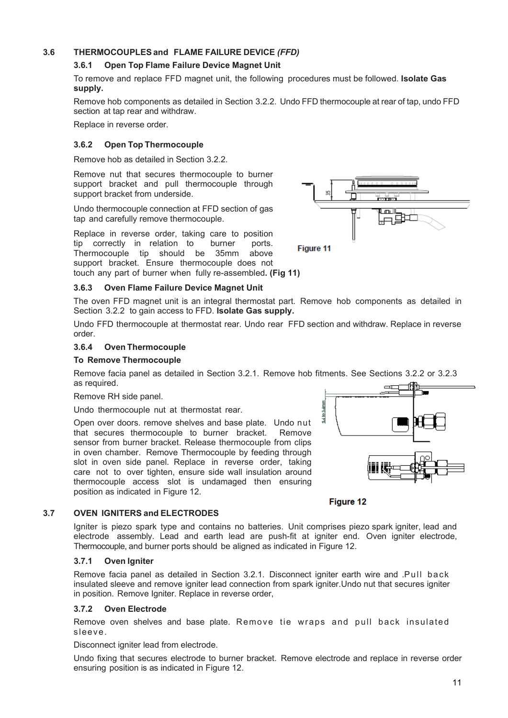#### **3.6 THERMOCOUPLESand FLAME FAILURE DEVICE** *(FFD)*

#### **3.6.1 Open Top Flame Failure Device Magnet Unit**

To remove and replace FFD magnet unit, the following procedures must be followed. **Isolate Gas supply.**

Remove hob components as detailed in Section 3.2.2. Undo FFD thermocouple at rear of tap, undo FFD section at tap rear and withdraw.

Replace in reverse order.

#### **3.6.2 Open Top Thermocouple**

Remove hob as detailed in Section 3.2.2.

Remove nut that secures thermocouple to burner support bracket and pull thermocouple through support bracket from underside.

Undo thermocouple connection at FFD section of gas tap and carefully remove thermocouple.

Replace in reverse order, taking care to position tip correctly in relation to burner ports. Thermocouple tip should be 35mm above support bracket. Ensure thermocouple does not touch any part of burner when fully re-assembled**. (Fig 11)**

#### **3.6.3 Oven Flame Failure Device Magnet Unit**

The oven FFD magnet unit is an integral thermostat part. Remove hob components as detailed in Section 3.2.2 to gain access to FFD. **Isolate Gas supply.**

Undo FFD thermocouple at thermostat rear. Undo rear FFD section and withdraw. Replace in reverse order.

#### **3.6.4 Oven Thermocouple**

#### **To Remove Thermocouple**

Remove facia panel as detailed in Section 3.2.1. Remove hob fitments. See Sections 3.2.2 or 3.2.3 as required.

Remove RH side panel.

Undo thermocouple nut at thermostat rear.

Open over doors. remove shelves and base plate. Undo nut that secures thermocouple to burner bracket. Remove sensor from burner bracket. Release thermocouple from clips in oven chamber. Remove Thermocouple by feeding through slot in oven side panel. Replace in reverse order, taking care not to over tighten, ensure side wall insulation around thermocouple access slot is undamaged then ensuring position as indicated in Figure 12.



Igniter is piezo spark type and contains no batteries. Unit comprises piezo spark igniter, lead and electrode assembly. Lead and earth lead are push-fit at igniter end. Oven igniter electrode, Thermocouple, and burner ports should be aligned as indicated in Figure 12.

#### **3.7.1 Oven Igniter**

Remove facia panel as detailed in Section 3.2.1. Disconnect igniter earth wire and .Pull back insulated sleeve and remove igniter lead connection from spark igniter.Undo nut that secures igniter in position. Remove Igniter. Replace in reverse order,

#### **3.7.2 Oven Electrode**

Remove oven shelves and base plate. Remove tie wraps and pull back insulated sleeve.

Disconnect igniter lead from electrode.

Undo fixing that secures electrode to burner bracket. Remove electrode and replace in reverse order ensuring position is as indicated in Figure 12.





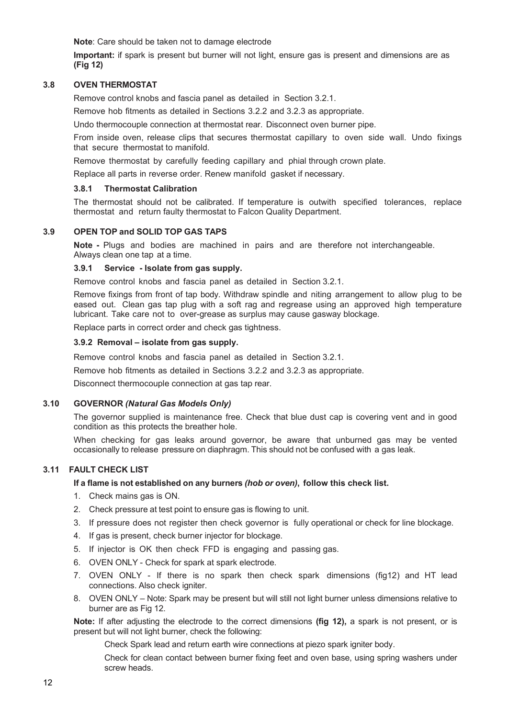**Note**: Care should be taken not to damage electrode

**Important:** if spark is present but burner will not light, ensure gas is present and dimensions are as **(Fig 12)**

#### **3.8 OVEN THERMOSTAT**

Remove control knobs and fascia panel as detailed in Section 3.2.1.

Remove hob fitments as detailed in Sections 3.2.2 and 3.2.3 as appropriate.

Undo thermocouple connection at thermostat rear. Disconnect oven burner pipe.

From inside oven, release clips that secures thermostat capillary to oven side wall. Undo fixings that secure thermostat to manifold.

Remove thermostat by carefully feeding capillary and phial through crown plate.

Replace all parts in reverse order. Renew manifold gasket if necessary.

#### **3.8.1 Thermostat Calibration**

The thermostat should not be calibrated. If temperature is outwith specified tolerances, replace thermostat and return faulty thermostat to Falcon Quality Department.

#### **3.9 OPEN TOP and SOLID TOP GAS TAPS**

**Note -** Plugs and bodies are machined in pairs and are therefore not interchangeable. Always clean one tap at a time.

#### **3.9.1 Service - Isolate from gas supply.**

Remove control knobs and fascia panel as detailed in Section 3.2.1.

Remove fixings from front of tap body. Withdraw spindle and niting arrangement to allow plug to be eased out. Clean gas tap plug with a soft rag and regrease using an approved high temperature lubricant. Take care not to over-grease as surplus may cause gasway blockage.

Replace parts in correct order and check gas tightness.

#### **3.9.2 Removal – isolate from gas supply.**

Remove control knobs and fascia panel as detailed in Section 3.2.1.

Remove hob fitments as detailed in Sections 3.2.2 and 3.2.3 as appropriate.

Disconnect thermocouple connection at gas tap rear.

#### **3.10 GOVERNOR** *(Natural Gas Models Only)*

The governor supplied is maintenance free. Check that blue dust cap is covering vent and in good condition as this protects the breather hole.

When checking for gas leaks around governor, be aware that unburned gas may be vented occasionally to release pressure on diaphragm. This should not be confused with a gas leak.

#### **3.11 FAULT CHECK LIST**

#### **If a flame is not established on any burners** *(hob or oven)***, follow this check list.**

- 1. Check mains gas is ON.
- 2. Check pressure at test point to ensure gas is flowing to unit.
- 3. If pressure does not register then check governor is fully operational or check for line blockage.
- 4. If gas is present, check burner injector for blockage.
- 5. If injector is OK then check FFD is engaging and passing gas.
- 6. OVEN ONLY Check for spark at spark electrode.
- 7. OVEN ONLY If there is no spark then check spark dimensions (fig12) and HT lead connections. Also check igniter.
- 8. OVEN ONLY Note: Spark may be present but will still not light burner unless dimensions relative to burner are as Fig 12.

**Note:** If after adjusting the electrode to the correct dimensions **(fig 12),** a spark is not present, or is present but will not light burner, check the following:

Check Spark lead and return earth wire connections at piezo spark igniter body.

Check for clean contact between burner fixing feet and oven base, using spring washers under screw heads.